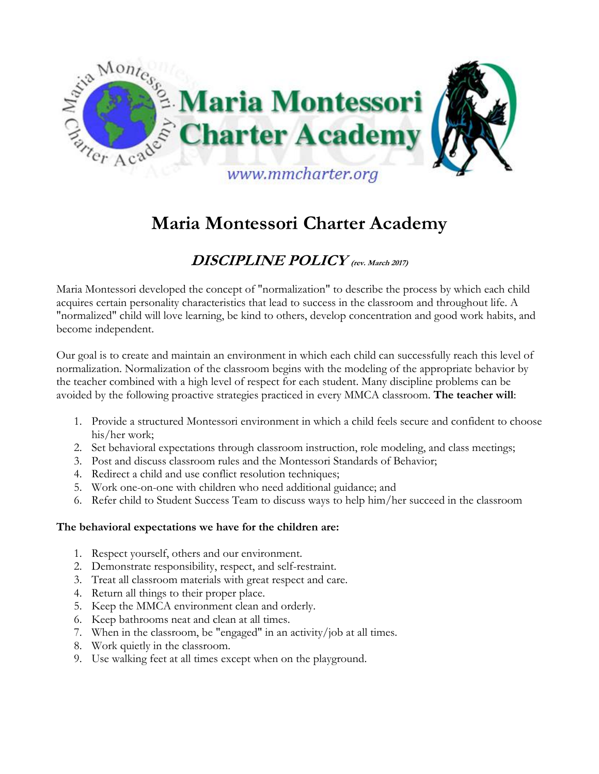

# **Maria Montessori Charter Academy**

# **DISCIPLINE POLICY (rev. March 2017)**

Maria Montessori developed the concept of "normalization" to describe the process by which each child acquires certain personality characteristics that lead to success in the classroom and throughout life. A "normalized" child will love learning, be kind to others, develop concentration and good work habits, and become independent.

Our goal is to create and maintain an environment in which each child can successfully reach this level of normalization. Normalization of the classroom begins with the modeling of the appropriate behavior by the teacher combined with a high level of respect for each student. Many discipline problems can be avoided by the following proactive strategies practiced in every MMCA classroom. **The teacher will**:

- 1. Provide a structured Montessori environment in which a child feels secure and confident to choose his/her work;
- 2. Set behavioral expectations through classroom instruction, role modeling, and class meetings;
- 3. Post and discuss classroom rules and the Montessori Standards of Behavior;
- 4. Redirect a child and use conflict resolution techniques;
- 5. Work one-on-one with children who need additional guidance; and
- 6. Refer child to Student Success Team to discuss ways to help him/her succeed in the classroom

#### **The behavioral expectations we have for the children are:**

- 1. Respect yourself, others and our environment.
- 2. Demonstrate responsibility, respect, and self-restraint.
- 3. Treat all classroom materials with great respect and care.
- 4. Return all things to their proper place.
- 5. Keep the MMCA environment clean and orderly.
- 6. Keep bathrooms neat and clean at all times.
- 7. When in the classroom, be "engaged" in an activity/job at all times.
- 8. Work quietly in the classroom.
- 9. Use walking feet at all times except when on the playground.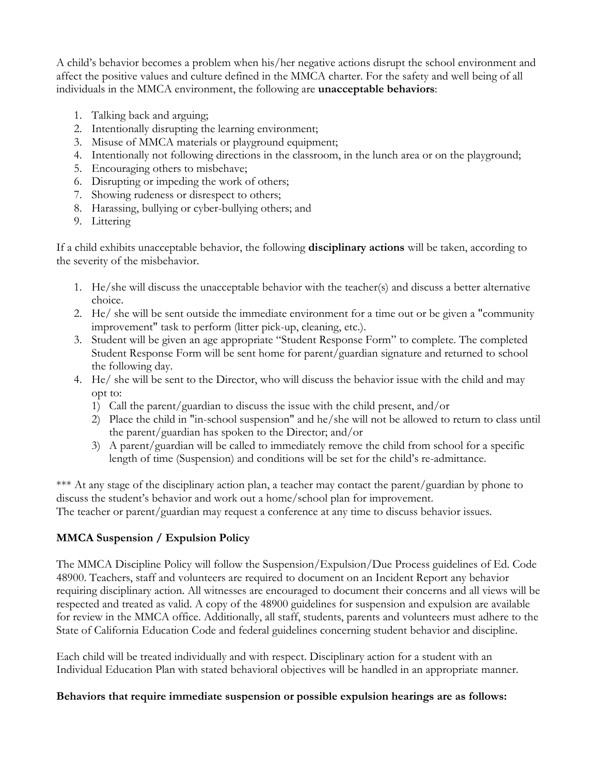A child's behavior becomes a problem when his/her negative actions disrupt the school environment and affect the positive values and culture defined in the MMCA charter. For the safety and well being of all individuals in the MMCA environment, the following are **unacceptable behaviors**:

- 1. Talking back and arguing;
- 2. Intentionally disrupting the learning environment;
- 3. Misuse of MMCA materials or playground equipment;
- 4. Intentionally not following directions in the classroom, in the lunch area or on the playground;
- 5. Encouraging others to misbehave;
- 6. Disrupting or impeding the work of others;
- 7. Showing rudeness or disrespect to others;
- 8. Harassing, bullying or cyber-bullying others; and
- 9. Littering

If a child exhibits unacceptable behavior, the following **disciplinary actions** will be taken, according to the severity of the misbehavior.

- 1. He/she will discuss the unacceptable behavior with the teacher(s) and discuss a better alternative choice.
- 2. He/ she will be sent outside the immediate environment for a time out or be given a "community improvement" task to perform (litter pick-up, cleaning, etc.).
- 3. Student will be given an age appropriate "Student Response Form" to complete. The completed Student Response Form will be sent home for parent/guardian signature and returned to school the following day.
- 4. He/ she will be sent to the Director, who will discuss the behavior issue with the child and may opt to:
	- 1) Call the parent/guardian to discuss the issue with the child present, and/or
	- 2) Place the child in "in-school suspension" and he/she will not be allowed to return to class until the parent/guardian has spoken to the Director; and/or
	- 3) A parent/guardian will be called to immediately remove the child from school for a specific length of time (Suspension) and conditions will be set for the child's re-admittance.

\*\*\* At any stage of the disciplinary action plan, a teacher may contact the parent/guardian by phone to discuss the student's behavior and work out a home/school plan for improvement. The teacher or parent/guardian may request a conference at any time to discuss behavior issues.

# **MMCA Suspension / Expulsion Policy**

The MMCA Discipline Policy will follow the Suspension/Expulsion/Due Process guidelines of Ed. Code 48900. Teachers, staff and volunteers are required to document on an Incident Report any behavior requiring disciplinary action. All witnesses are encouraged to document their concerns and all views will be respected and treated as valid. A copy of the 48900 guidelines for suspension and expulsion are available for review in the MMCA office. Additionally, all staff, students, parents and volunteers must adhere to the State of California Education Code and federal guidelines concerning student behavior and discipline.

Each child will be treated individually and with respect. Disciplinary action for a student with an Individual Education Plan with stated behavioral objectives will be handled in an appropriate manner.

### **Behaviors that require immediate suspension or possible expulsion hearings are as follows:**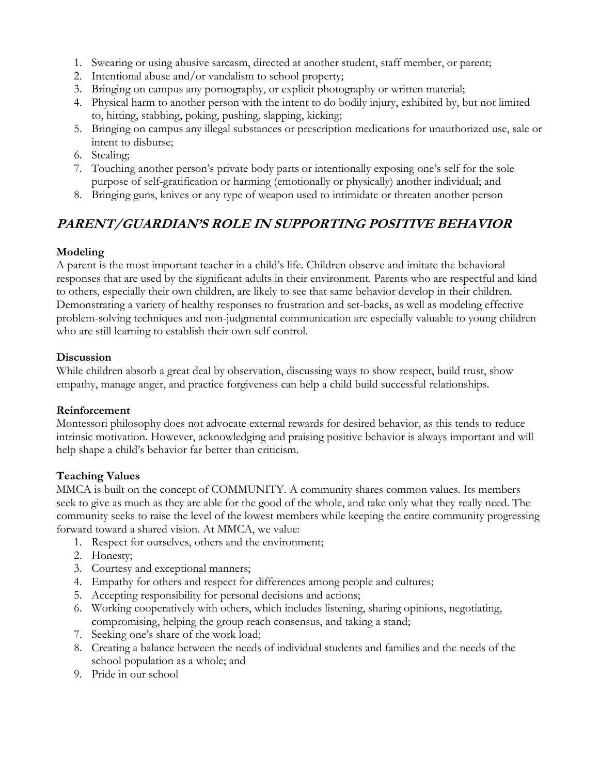- 1. Swearing or using abusive sarcasm, directed at another student, staff member, or parent;
- 2. Intentional abuse and/or vandalism to school property;
- 3. Bringing on campus any pornography, or explicit photography or written material;
- 4. Physical harm to another person with the intent to do bodily injury, exhibited by, but not limited to, hitting, stabbing, poking, pushing, slapping, kicking;
- 5. Bringing on campus any illegal substances or prescription medications for unauthorized use, sale or intent to disburse;
- 6. Stealing;
- 7. Touching another person's private body parts or intentionally exposing one's self for the sole purpose of self-gratification or harming (emotionally or physically) another individual; and
- 8. Bringing guns, knives or any type of weapon used to intimidate or threaten another person

# **PARENT/GUARDIAN'S ROLE IN SUPPORTING POSITIVE BEHAVIOR**

# **Modeling**

A parent is the most important teacher in a child's life. Children observe and imitate the behavioral responses that are used by the significant adults in their environment. Parents who are respectful and kind to others, especially their own children, are likely to see that same behavior develop in their children. Demonstrating a variety of healthy responses to frustration and set-backs, as well as modeling effective problem-solving techniques and non-judgmental communication are especially valuable to young children who are still learning to establish their own self control.

### **Discussion**

While children absorb a great deal by observation, discussing ways to show respect, build trust, show empathy, manage anger, and practice forgiveness can help a child build successful relationships.

# **Reinforcement**

Montessori philosophy does not advocate external rewards for desired behavior, as this tends to reduce intrinsic motivation. However, acknowledging and praising positive behavior is always important and will help shape a child's behavior far better than criticism.

# **Teaching Values**

MMCA is built on the concept of COMMUNITY. A community shares common values. Its members seek to give as much as they are able for the good of the whole, and take only what they really need. The community seeks to raise the level of the lowest members while keeping the entire community progressing forward toward a shared vision. At MMCA, we value:

- 1. Respect for ourselves, others and the environment;
- 2. Honesty;
- 3. Courtesy and exceptional manners;
- 4. Empathy for others and respect for differences among people and cultures;
- 5. Accepting responsibility for personal decisions and actions;
- 6. Working cooperatively with others, which includes listening, sharing opinions, negotiating, compromising, helping the group reach consensus, and taking a stand;
- 7. Seeking one's share of the work load;
- 8. Creating a balance between the needs of individual students and families and the needs of the school population as a whole; and
- 9. Pride in our school